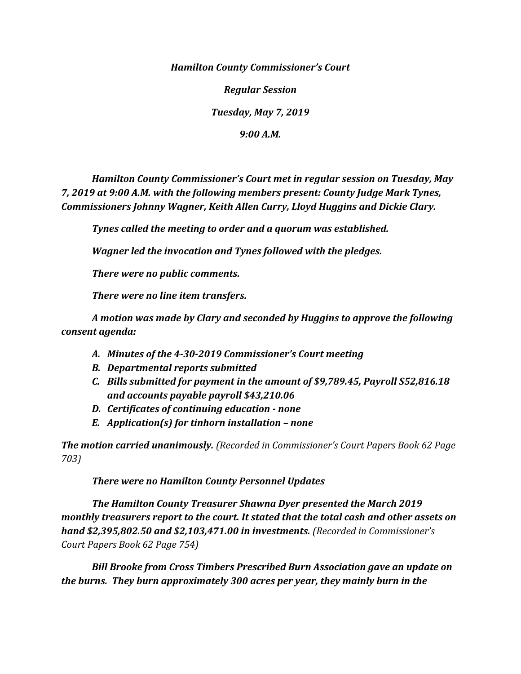*Hamilton County Commissioner's Court*

*Regular Session*

*Tuesday, May 7, 2019*

*9:00 A.M.*

*Hamilton County Commissioner's Court met in regular session on Tuesday, May 7, 2019 at 9:00 A.M. with the following members present: County Judge Mark Tynes, Commissioners Johnny Wagner, Keith Allen Curry, Lloyd Huggins and Dickie Clary.*

*Tynes called the meeting to order and a quorum was established.*

*Wagner led the invocation and Tynes followed with the pledges.*

*There were no public comments.*

*There were no line item transfers.*

*A motion was made by Clary and seconded by Huggins to approve the following consent agenda:*

- *A. Minutes of the 4-30-2019 Commissioner's Court meeting*
- *B. Departmental reports submitted*
- *C. Bills submitted for payment in the amount of \$9,789.45, Payroll S52,816.18 and accounts payable payroll \$43,210.06*
- *D. Certificates of continuing education - none*
- *E. Application(s) for tinhorn installation – none*

*The motion carried unanimously. (Recorded in Commissioner's Court Papers Book 62 Page 703)*

*There were no Hamilton County Personnel Updates*

*The Hamilton County Treasurer Shawna Dyer presented the March 2019 monthly treasurers report to the court. It stated that the total cash and other assets on hand \$2,395,802.50 and \$2,103,471.00 in investments. (Recorded in Commissioner's Court Papers Book 62 Page 754)*

*Bill Brooke from Cross Timbers Prescribed Burn Association gave an update on the burns. They burn approximately 300 acres per year, they mainly burn in the*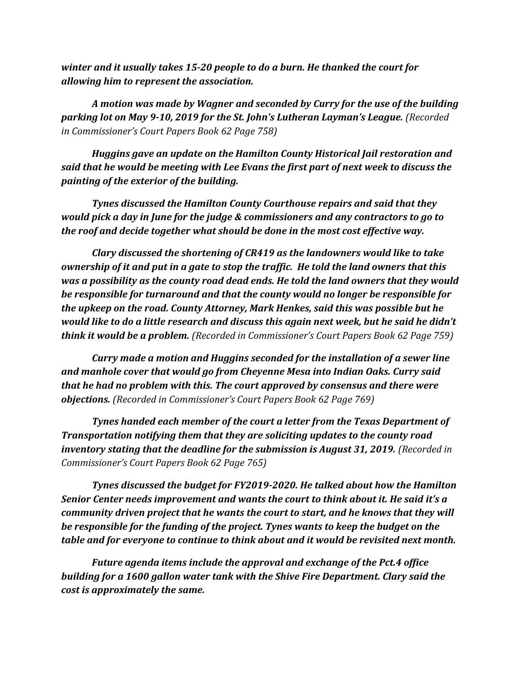*winter and it usually takes 15-20 people to do a burn. He thanked the court for allowing him to represent the association.*

*A motion was made by Wagner and seconded by Curry for the use of the building parking lot on May 9-10, 2019 for the St. John's Lutheran Layman's League. (Recorded in Commissioner's Court Papers Book 62 Page 758)*

*Huggins gave an update on the Hamilton County Historical Jail restoration and said that he would be meeting with Lee Evans the first part of next week to discuss the painting of the exterior of the building.*

*Tynes discussed the Hamilton County Courthouse repairs and said that they would pick a day in June for the judge & commissioners and any contractors to go to the roof and decide together what should be done in the most cost effective way.*

*Clary discussed the shortening of CR419 as the landowners would like to take ownership of it and put in a gate to stop the traffic. He told the land owners that this was a possibility as the county road dead ends. He told the land owners that they would be responsible for turnaround and that the county would no longer be responsible for the upkeep on the road. County Attorney, Mark Henkes, said this was possible but he would like to do a little research and discuss this again next week, but he said he didn't think it would be a problem. (Recorded in Commissioner's Court Papers Book 62 Page 759)*

*Curry made a motion and Huggins seconded for the installation of a sewer line and manhole cover that would go from Cheyenne Mesa into Indian Oaks. Curry said that he had no problem with this. The court approved by consensus and there were objections. (Recorded in Commissioner's Court Papers Book 62 Page 769)*

*Tynes handed each member of the court a letter from the Texas Department of Transportation notifying them that they are soliciting updates to the county road inventory stating that the deadline for the submission is August 31, 2019. (Recorded in Commissioner's Court Papers Book 62 Page 765)*

*Tynes discussed the budget for FY2019-2020. He talked about how the Hamilton Senior Center needs improvement and wants the court to think about it. He said it's a community driven project that he wants the court to start, and he knows that they will be responsible for the funding of the project. Tynes wants to keep the budget on the table and for everyone to continue to think about and it would be revisited next month.* 

*Future agenda items include the approval and exchange of the Pct.4 office building for a 1600 gallon water tank with the Shive Fire Department. Clary said the cost is approximately the same.*